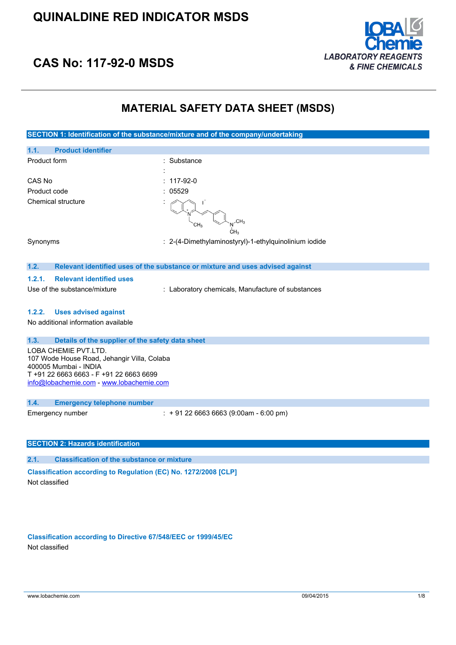

# **CAS No: 117-92-0 MSDS**

### **MATERIAL SAFETY DATA SHEET (MSDS)**

| SECTION 1: Identification of the substance/mixture and of the company/undertaking                                                                                                   |                                                                               |  |  |
|-------------------------------------------------------------------------------------------------------------------------------------------------------------------------------------|-------------------------------------------------------------------------------|--|--|
| 1.1.<br><b>Product identifier</b>                                                                                                                                                   |                                                                               |  |  |
| Product form                                                                                                                                                                        | Substance                                                                     |  |  |
|                                                                                                                                                                                     |                                                                               |  |  |
| CAS No                                                                                                                                                                              | 117-92-0                                                                      |  |  |
| Product code                                                                                                                                                                        | 05529                                                                         |  |  |
| <b>Chemical structure</b>                                                                                                                                                           | CH <sub>3</sub>                                                               |  |  |
| Synonyms                                                                                                                                                                            | : 2-(4-Dimethylaminostyryl)-1-ethylquinolinium iodide                         |  |  |
| 1.2.                                                                                                                                                                                | Relevant identified uses of the substance or mixture and uses advised against |  |  |
| 1.2.1.<br><b>Relevant identified uses</b>                                                                                                                                           |                                                                               |  |  |
| Use of the substance/mixture                                                                                                                                                        | : Laboratory chemicals, Manufacture of substances                             |  |  |
| <b>Uses advised against</b><br>1.2.2.<br>No additional information available                                                                                                        |                                                                               |  |  |
| Details of the supplier of the safety data sheet<br>1.3.                                                                                                                            |                                                                               |  |  |
| LOBA CHEMIE PVT.LTD.<br>107 Wode House Road, Jehangir Villa, Colaba<br>400005 Mumbai - INDIA<br>T +91 22 6663 6663 - F +91 22 6663 6699<br>info@lobachemie.com - www.lobachemie.com |                                                                               |  |  |
| 1.4.<br><b>Emergency telephone number</b>                                                                                                                                           |                                                                               |  |  |
| Emergency number                                                                                                                                                                    | $: +912266636663(9:00am - 6:00 pm)$                                           |  |  |
| <b>SECTION 2: Hazards identification</b>                                                                                                                                            |                                                                               |  |  |
| 2.1.<br><b>Classification of the substance or mixture</b>                                                                                                                           |                                                                               |  |  |
| Classification according to Regulation (EC) No. 1272/2008 [CLP]                                                                                                                     |                                                                               |  |  |

Not classified

**Classification according to Directive 67/548/EEC or 1999/45/EC** Not classified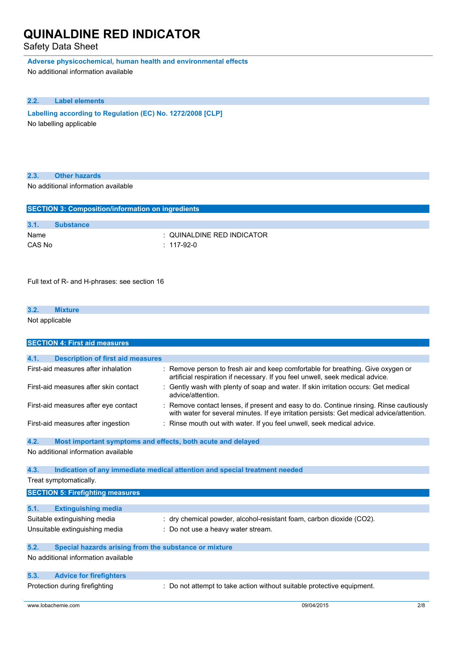### Safety Data Sheet

**Adverse physicochemical, human health and environmental effects**

No additional information available

#### **2.2. Label elements**

**Labelling according to Regulation** (EC) **No. 1272/2008** [CLP] No labelling applicable

| 2.3. |  | <b>Other hazards</b> |  |
|------|--|----------------------|--|
|      |  |                      |  |

No additional information available

|        | <b>SECTION 3: Composition/information on ingredients</b> |                            |  |  |
|--------|----------------------------------------------------------|----------------------------|--|--|
|        |                                                          |                            |  |  |
|        |                                                          |                            |  |  |
| 3.1.   | <b>Substance</b>                                         |                            |  |  |
| Name   |                                                          | : QUINALDINE RED INDICATOR |  |  |
| CAS No |                                                          | $: 117-92-0$               |  |  |
|        |                                                          |                            |  |  |
|        |                                                          |                            |  |  |

Full text of R- and H-phrases: see section 16

### **3.2. Mixture** Not applicable

| <b>SECTION 4: First aid measures</b>                                |                                                                                                                                                                                   |  |  |
|---------------------------------------------------------------------|-----------------------------------------------------------------------------------------------------------------------------------------------------------------------------------|--|--|
|                                                                     |                                                                                                                                                                                   |  |  |
| 4.1.<br><b>Description of first aid measures</b>                    |                                                                                                                                                                                   |  |  |
| First-aid measures after inhalation                                 | Remove person to fresh air and keep comfortable for breathing. Give oxygen or<br>artificial respiration if necessary. If you feel unwell, seek medical advice.                    |  |  |
| First-aid measures after skin contact                               | Gently wash with plenty of soap and water. If skin irritation occurs: Get medical<br>advice/attention.                                                                            |  |  |
| First-aid measures after eye contact                                | Remove contact lenses, if present and easy to do. Continue rinsing. Rinse cautiously<br>with water for several minutes. If eye irritation persists: Get medical advice/attention. |  |  |
| First-aid measures after ingestion                                  | Rinse mouth out with water. If you feel unwell, seek medical advice.                                                                                                              |  |  |
| 4.2.<br>Most important symptoms and effects, both acute and delayed |                                                                                                                                                                                   |  |  |
| No additional information available                                 |                                                                                                                                                                                   |  |  |
|                                                                     |                                                                                                                                                                                   |  |  |
| 4.3.                                                                | Indication of any immediate medical attention and special treatment needed                                                                                                        |  |  |
| Treat symptomatically.                                              |                                                                                                                                                                                   |  |  |
| <b>SECTION 5: Firefighting measures</b>                             |                                                                                                                                                                                   |  |  |
|                                                                     |                                                                                                                                                                                   |  |  |
| 5.1.<br><b>Extinguishing media</b>                                  |                                                                                                                                                                                   |  |  |
| Suitable extinguishing media                                        | : dry chemical powder, alcohol-resistant foam, carbon dioxide (CO2).                                                                                                              |  |  |
| Unsuitable extinguishing media                                      | Do not use a heavy water stream.                                                                                                                                                  |  |  |
|                                                                     |                                                                                                                                                                                   |  |  |
| 5.2.<br>Special hazards arising from the substance or mixture       |                                                                                                                                                                                   |  |  |
| No additional information available                                 |                                                                                                                                                                                   |  |  |
| 5.3.<br><b>Advice for firefighters</b>                              |                                                                                                                                                                                   |  |  |
| Protection during firefighting                                      | : Do not attempt to take action without suitable protective equipment.                                                                                                            |  |  |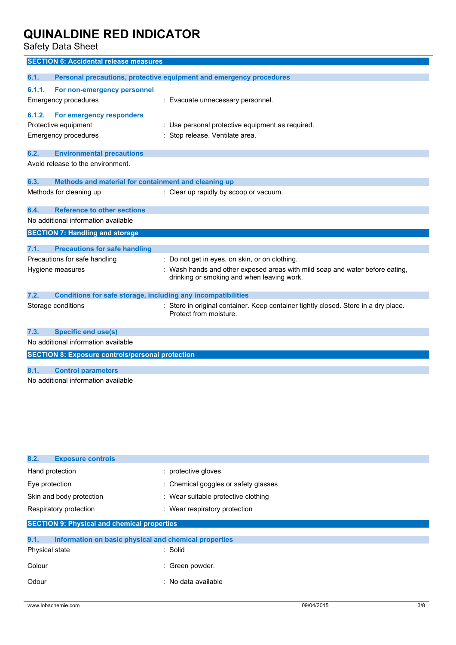Safety Data Sheet

| Personal precautions, protective equipment and emergency procedures<br>6.1.1.<br>For non-emergency personnel<br>: Evacuate unnecessary personnel.<br>For emergency responders<br>6.1.2.<br>: Use personal protective equipment as required.<br>Stop release. Ventilate area.<br><b>Environmental precautions</b><br>Avoid release to the environment.<br>Methods and material for containment and cleaning up<br>: Clear up rapidly by scoop or vacuum.<br><b>Reference to other sections</b><br><b>Precautions for safe handling</b><br>: Do not get in eyes, on skin, or on clothing.<br>Wash hands and other exposed areas with mild soap and water before eating,<br>drinking or smoking and when leaving work.<br><b>Conditions for safe storage, including any incompatibilities</b><br>: Store in original container. Keep container tightly closed. Store in a dry place.<br>Protect from moisture.<br><b>Specific end use(s)</b><br><b>SECTION 8: Exposure controls/personal protection</b> | <b>SECTION 6: Accidental release measures</b>       |  |
|------------------------------------------------------------------------------------------------------------------------------------------------------------------------------------------------------------------------------------------------------------------------------------------------------------------------------------------------------------------------------------------------------------------------------------------------------------------------------------------------------------------------------------------------------------------------------------------------------------------------------------------------------------------------------------------------------------------------------------------------------------------------------------------------------------------------------------------------------------------------------------------------------------------------------------------------------------------------------------------------------|-----------------------------------------------------|--|
|                                                                                                                                                                                                                                                                                                                                                                                                                                                                                                                                                                                                                                                                                                                                                                                                                                                                                                                                                                                                      | 6.1.                                                |  |
|                                                                                                                                                                                                                                                                                                                                                                                                                                                                                                                                                                                                                                                                                                                                                                                                                                                                                                                                                                                                      | Emergency procedures                                |  |
|                                                                                                                                                                                                                                                                                                                                                                                                                                                                                                                                                                                                                                                                                                                                                                                                                                                                                                                                                                                                      | Protective equipment<br><b>Emergency procedures</b> |  |
|                                                                                                                                                                                                                                                                                                                                                                                                                                                                                                                                                                                                                                                                                                                                                                                                                                                                                                                                                                                                      | 6.2.                                                |  |
|                                                                                                                                                                                                                                                                                                                                                                                                                                                                                                                                                                                                                                                                                                                                                                                                                                                                                                                                                                                                      |                                                     |  |
|                                                                                                                                                                                                                                                                                                                                                                                                                                                                                                                                                                                                                                                                                                                                                                                                                                                                                                                                                                                                      | 6.3.                                                |  |
|                                                                                                                                                                                                                                                                                                                                                                                                                                                                                                                                                                                                                                                                                                                                                                                                                                                                                                                                                                                                      | Methods for cleaning up                             |  |
|                                                                                                                                                                                                                                                                                                                                                                                                                                                                                                                                                                                                                                                                                                                                                                                                                                                                                                                                                                                                      | 6.4.                                                |  |
|                                                                                                                                                                                                                                                                                                                                                                                                                                                                                                                                                                                                                                                                                                                                                                                                                                                                                                                                                                                                      | No additional information available                 |  |
|                                                                                                                                                                                                                                                                                                                                                                                                                                                                                                                                                                                                                                                                                                                                                                                                                                                                                                                                                                                                      | <b>SECTION 7: Handling and storage</b>              |  |
|                                                                                                                                                                                                                                                                                                                                                                                                                                                                                                                                                                                                                                                                                                                                                                                                                                                                                                                                                                                                      | 7.1.                                                |  |
|                                                                                                                                                                                                                                                                                                                                                                                                                                                                                                                                                                                                                                                                                                                                                                                                                                                                                                                                                                                                      | Precautions for safe handling                       |  |
|                                                                                                                                                                                                                                                                                                                                                                                                                                                                                                                                                                                                                                                                                                                                                                                                                                                                                                                                                                                                      | Hygiene measures                                    |  |
|                                                                                                                                                                                                                                                                                                                                                                                                                                                                                                                                                                                                                                                                                                                                                                                                                                                                                                                                                                                                      | 7.2.                                                |  |
|                                                                                                                                                                                                                                                                                                                                                                                                                                                                                                                                                                                                                                                                                                                                                                                                                                                                                                                                                                                                      | Storage conditions                                  |  |
|                                                                                                                                                                                                                                                                                                                                                                                                                                                                                                                                                                                                                                                                                                                                                                                                                                                                                                                                                                                                      | 7.3.                                                |  |
|                                                                                                                                                                                                                                                                                                                                                                                                                                                                                                                                                                                                                                                                                                                                                                                                                                                                                                                                                                                                      | No additional information available                 |  |
|                                                                                                                                                                                                                                                                                                                                                                                                                                                                                                                                                                                                                                                                                                                                                                                                                                                                                                                                                                                                      |                                                     |  |
| <b>Control parameters</b><br>No additional information available                                                                                                                                                                                                                                                                                                                                                                                                                                                                                                                                                                                                                                                                                                                                                                                                                                                                                                                                     | 8.1.                                                |  |

| 8.2.<br><b>Exposure controls</b>                              |                                      |  |  |
|---------------------------------------------------------------|--------------------------------------|--|--|
| Hand protection                                               | : protective gloves                  |  |  |
| Eye protection                                                | : Chemical goggles or safety glasses |  |  |
| Skin and body protection                                      | : Wear suitable protective clothing  |  |  |
| Respiratory protection                                        | : Wear respiratory protection        |  |  |
| <b>SECTION 9: Physical and chemical properties</b>            |                                      |  |  |
| 9.1.<br>Information on basic physical and chemical properties |                                      |  |  |
| Physical state                                                | : Solid                              |  |  |
| Colour                                                        | Green powder.                        |  |  |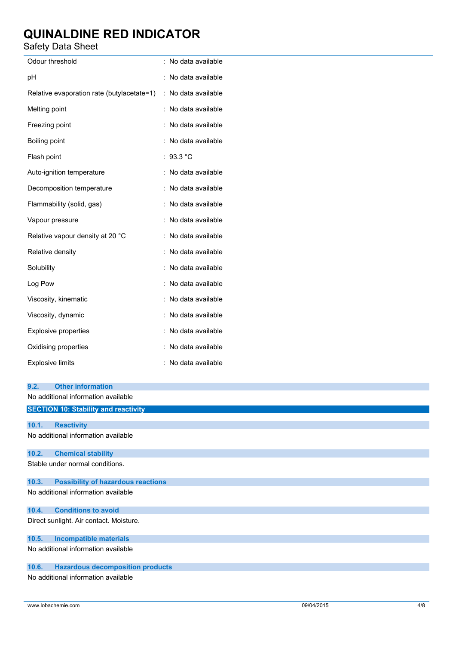Safety Data Sheet

| ναισιγ υαια υποσι                                                       |                     |
|-------------------------------------------------------------------------|---------------------|
| Odour threshold                                                         | : No data available |
| pH                                                                      | : No data available |
| Relative evaporation rate (butylacetate=1) : No data available          |                     |
| Melting point                                                           | : No data available |
| Freezing point                                                          | : No data available |
| Boiling point                                                           | : No data available |
| Flash point                                                             | : $93.3 °C$         |
| Auto-ignition temperature                                               | : No data available |
| Decomposition temperature                                               | : No data available |
| Flammability (solid, gas)                                               | : No data available |
| Vapour pressure                                                         | : No data available |
| Relative vapour density at 20 °C                                        | : No data available |
| Relative density                                                        | : No data available |
| Solubility                                                              | : No data available |
| Log Pow                                                                 | : No data available |
| Viscosity, kinematic                                                    | : No data available |
| Viscosity, dynamic                                                      | : No data available |
| Explosive properties                                                    | : No data available |
| Oxidising properties                                                    | : No data available |
| <b>Explosive limits</b>                                                 | : No data available |
|                                                                         |                     |
| <b>Other information</b><br>9.2.<br>No additional information available |                     |
| <b>SECTION 10: Stability and reactivity</b>                             |                     |
|                                                                         |                     |
| 10.1.<br><b>Reactivity</b><br>No additional information available       |                     |
| <b>Chemical stability</b><br>10.2.                                      |                     |
| Stable under normal conditions.                                         |                     |
| <b>Possibility of hazardous reactions</b><br>10.3.                      |                     |
| No additional information available                                     |                     |
| <b>Conditions to avoid</b><br>10.4.                                     |                     |
| Direct sunlight. Air contact. Moisture.                                 |                     |
| 10.5.<br><b>Incompatible materials</b>                                  |                     |

No additional information available

### **10.6. Hazardous decomposition products**

No additional information available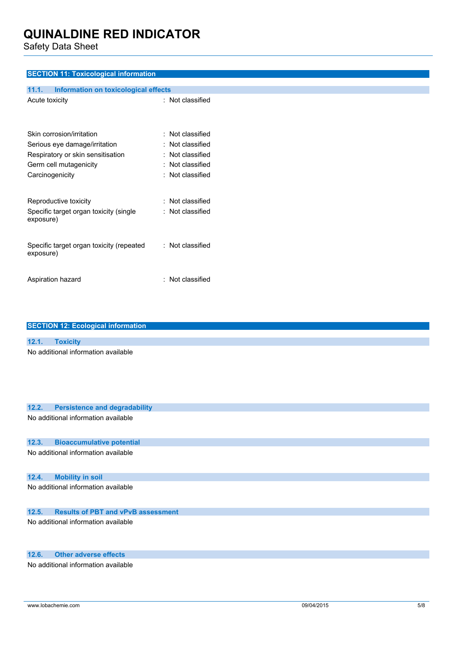Safety Data Sheet

### **SECTION 11: Toxicological information**

| <b>Information on toxicological effects</b><br>11.1.  |                         |
|-------------------------------------------------------|-------------------------|
| Acute toxicity                                        | : Not classified        |
| Skin corrosion/irritation                             | : Not classified        |
| Serious eye damage/irritation                         | $\colon$ Not classified |
| Respiratory or skin sensitisation                     | $\colon$ Not classified |
| Germ cell mutagenicity                                | : Not classified        |
| Carcinogenicity                                       | : Not classified        |
| Reproductive toxicity                                 | : Not classified        |
| Specific target organ toxicity (single<br>exposure)   | : Not classified        |
| Specific target organ toxicity (repeated<br>exposure) | : Not classified        |
| Aspiration hazard                                     | : Not classified        |

| <b>SECTION 12: Ecological information</b>          |  |  |  |
|----------------------------------------------------|--|--|--|
|                                                    |  |  |  |
| 12.1.<br><b>Toxicity</b>                           |  |  |  |
| No additional information available                |  |  |  |
| 12.2.<br><b>Persistence and degradability</b>      |  |  |  |
| No additional information available                |  |  |  |
| <b>Bioaccumulative potential</b><br>12.3.          |  |  |  |
| No additional information available                |  |  |  |
| <b>Mobility in soil</b><br>12.4.                   |  |  |  |
| No additional information available                |  |  |  |
| <b>Results of PBT and vPvB assessment</b><br>12.5. |  |  |  |
| No additional information available                |  |  |  |

### **12.6. Other adverse effects**

No additional information available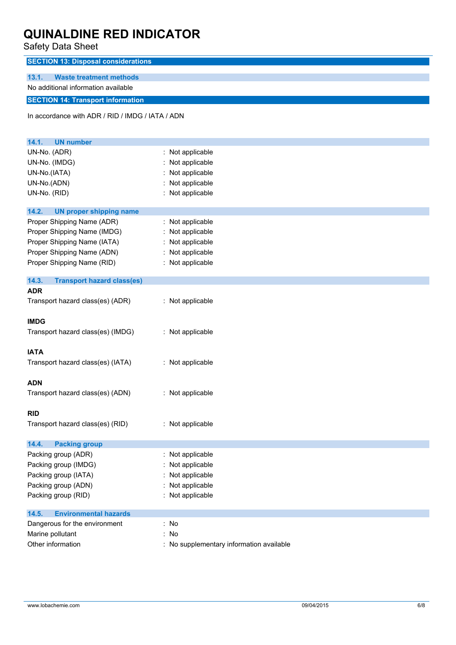Safety Data Sheet

| odiviy Dulu Onool                                |                                          |
|--------------------------------------------------|------------------------------------------|
| <b>SECTION 13: Disposal considerations</b>       |                                          |
| 13.1.<br><b>Waste treatment methods</b>          |                                          |
| No additional information available              |                                          |
| <b>SECTION 14: Transport information</b>         |                                          |
|                                                  |                                          |
| In accordance with ADR / RID / IMDG / IATA / ADN |                                          |
|                                                  |                                          |
| 14.1.<br><b>UN number</b>                        |                                          |
| UN-No. (ADR)                                     | : Not applicable                         |
| UN-No. (IMDG)                                    | Not applicable                           |
| UN-No.(IATA)                                     | : Not applicable                         |
| UN-No.(ADN)                                      | Not applicable                           |
| UN-No. (RID)                                     | : Not applicable                         |
|                                                  |                                          |
| 14.2.<br><b>UN proper shipping name</b>          |                                          |
| Proper Shipping Name (ADR)                       | : Not applicable                         |
| Proper Shipping Name (IMDG)                      | : Not applicable                         |
| Proper Shipping Name (IATA)                      | : Not applicable                         |
| Proper Shipping Name (ADN)                       | : Not applicable                         |
| Proper Shipping Name (RID)                       | : Not applicable                         |
| 14.3.<br><b>Transport hazard class(es)</b>       |                                          |
| <b>ADR</b>                                       |                                          |
| Transport hazard class(es) (ADR)                 | : Not applicable                         |
|                                                  |                                          |
| <b>IMDG</b>                                      |                                          |
| Transport hazard class(es) (IMDG)                | : Not applicable                         |
|                                                  |                                          |
| <b>IATA</b>                                      |                                          |
| Transport hazard class(es) (IATA)                | : Not applicable                         |
|                                                  |                                          |
| <b>ADN</b>                                       |                                          |
| Transport hazard class(es) (ADN)                 | : Not applicable                         |
| <b>RID</b>                                       |                                          |
| Transport hazard class(es) (RID)                 | : Not applicable                         |
|                                                  |                                          |
| 14.4.<br><b>Packing group</b>                    |                                          |
| Packing group (ADR)                              | : Not applicable                         |
| Packing group (IMDG)                             | : Not applicable                         |
| Packing group (IATA)                             | Not applicable                           |
| Packing group (ADN)                              | : Not applicable                         |
| Packing group (RID)                              | : Not applicable                         |
|                                                  |                                          |
| <b>Environmental hazards</b><br>14.5.            |                                          |
| Dangerous for the environment                    | : No                                     |
| Marine pollutant                                 | : No                                     |
| Other information                                | : No supplementary information available |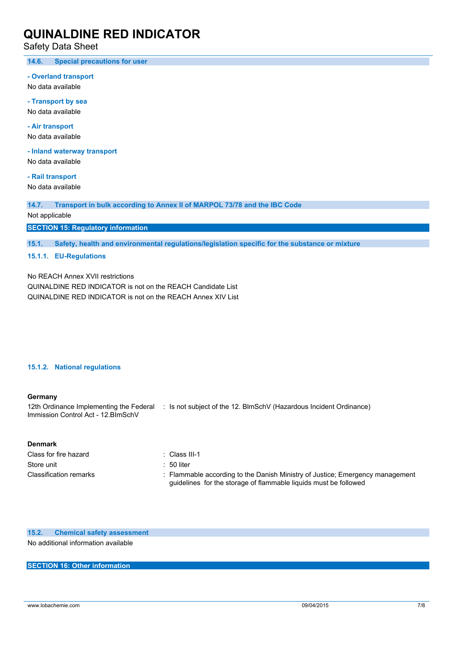Safety Data Sheet

**14.6. Special precautions for user**

**- Overland transport**

No data available

**- Transport by sea** No data available

**- Air transport** No data available

**- Inland waterway transport**

No data available

**- Rail transport** No data available

**14.7. Transport in bulk according to Annex II of MARPOL 73/78 and the IBC Code**

Not applicable

**SECTION 15: Regulatory information**

**15.1. Safety, health and environmental regulations/legislation specific for the substance or mixture**

#### **15.1.1. EU-Regulations**

No REACH Annex XVII restrictions QUINALDINE RED INDICATOR is not on the REACH Candidate List

QUINALDINE RED INDICATOR is not on the REACH Annex XIV List

#### **15.1.2. National regulations**

#### **Germany**

12th Ordinance Implementing the Federal : Is not subject of the 12. BlmSchV (Hazardous Incident Ordinance) Immission Control Act - 12.BImSchV

#### **Denmark**

| Class for fire hazard  | : Class III-1                                                                                                                                     |
|------------------------|---------------------------------------------------------------------------------------------------------------------------------------------------|
| Store unit             | $=50$ liter                                                                                                                                       |
| Classification remarks | : Flammable according to the Danish Ministry of Justice; Emergency management<br>guidelines for the storage of flammable liquids must be followed |

**15.2. Chemical safety assessment** No additional information available

### **SECTION 16: Other information**